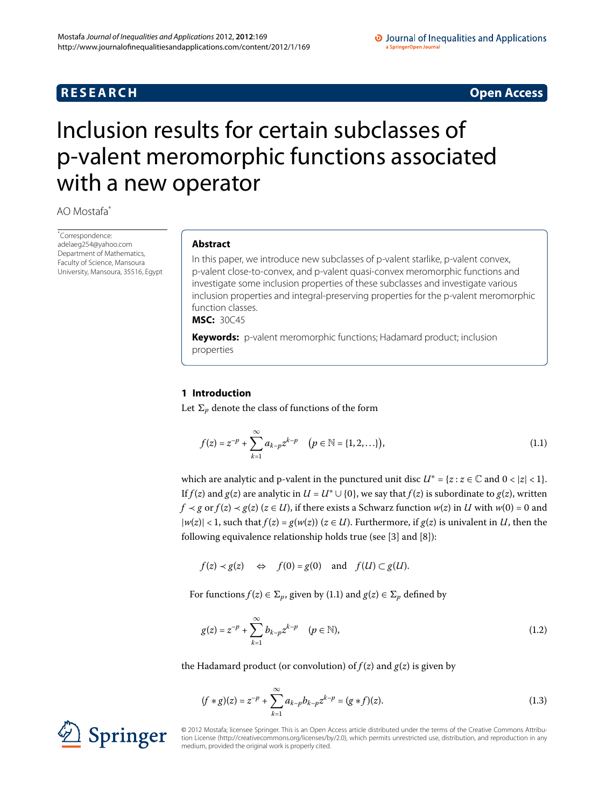# **R E S E A R C H Open Access**

### O Journal of Inequalities and Applications a SpringerOpen Journal

<span id="page-0-1"></span>

# <span id="page-0-0"></span>Inclusion results for certain subclasses of p-valent meromorphic functions associated with a new operator

AO Mostafa[\\*](#page-0-0)

\* Correspondence: [adelaeg254@yahoo.com](mailto:adelaeg254@yahoo.com) Department of Mathematics, Faculty of Science, Mansoura University, Mansoura, 35516, Egypt

### **Abstract**

In this paper, we introduce new subclasses of p-valent starlike, p-valent convex, p-valent close-to-convex, and p-valent quasi-convex meromorphic functions and investigate some inclusion properties of these subclasses and investigate various inclusion properties and integral-preserving properties for the p-valent meromorphic function classes.

**MSC:** 30C45

**Keywords:** p-valent meromorphic functions; Hadamard product; inclusion properties

## **1 Introduction**

Let  $\Sigma_p$  denote the class of functions of the form

$$
f(z) = z^{-p} + \sum_{k=1}^{\infty} a_{k-p} z^{k-p} \quad (p \in \mathbb{N} = \{1, 2, \ldots\}),
$$
 (1.1)

which are analytic and p-valent in the punctured unit disc  $U^* = \{z : z \in \mathbb{C} \text{ and } 0 < |z| < 1\}.$ If  $f(z)$  and  $g(z)$  are analytic in  $U = U^* \cup \{0\}$ , we say that  $f(z)$  is subordinate to  $g(z)$ , written  $f \prec g$  or  $f(z) \prec g(z)$  ( $z \in U$ ), if there exists a Schwarz function  $w(z)$  in *U* with  $w(0) = 0$  and  $|w(z)| < 1$ , such that  $f(z) = g(w(z))$  ( $z \in U$ ). Furthermore, if  $g(z)$  is univalent in *U*, then the following equivalence relationship holds true (see  $[3]$  $[3]$  and  $[8]$ ):

 $f(z) \prec g(z) \Leftrightarrow f(0) = g(0) \text{ and } f(U) \subset g(U).$ 

For functions  $f(z) \in \Sigma_p$ , given by (1[.](#page-0-1)1) and  $g(z) \in \Sigma_p$  defined by

$$
g(z) = z^{-p} + \sum_{k=1}^{\infty} b_{k-p} z^{k-p} \quad (p \in \mathbb{N}),
$$
 (1.2)

the Hadamard product (or convolution) of  $f(z)$  and  $g(z)$  is given by

$$
(f * g)(z) = z^{-p} + \sum_{k=1}^{\infty} a_{k-p} b_{k-p} z^{k-p} = (g * f)(z).
$$
 (1.3)

© 2012 Mostafa; licensee Springer. This is an Open Access article distributed under the terms of the Creative Commons Attribution License ([http://creativecommons.org/licenses/by/2.0\)](http://creativecommons.org/licenses/by/2.0), which permits unrestricted use, distribution, and reproduction in any medium, provided the original work is properly cited.

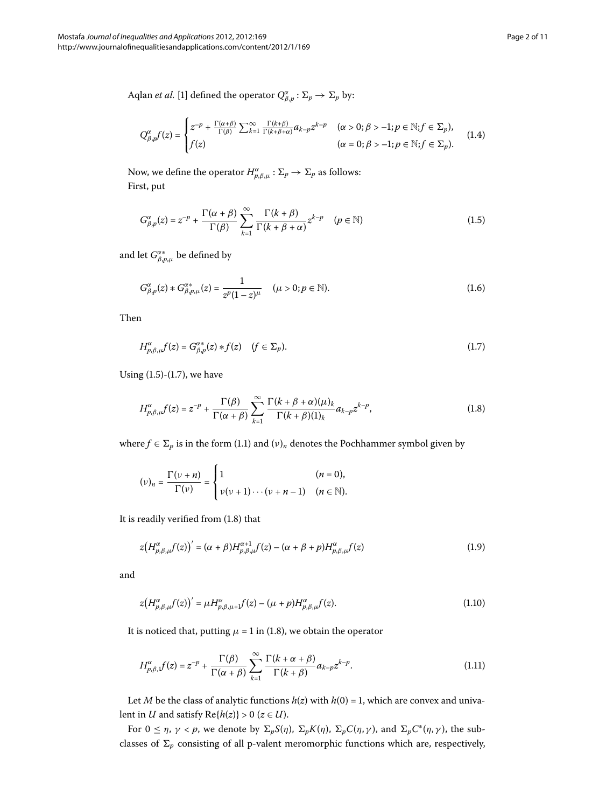Aqlan *et al.* [1[\]](#page-10-2) defined the operator  $Q_{\beta,p}^{\alpha} : \Sigma_p \to \Sigma_p$  by:

<span id="page-1-0"></span>
$$
Q_{\beta,p}^{\alpha}f(z) = \begin{cases} z^{-p} + \frac{\Gamma(\alpha+\beta)}{\Gamma(\beta)} \sum_{k=1}^{\infty} \frac{\Gamma(k+\beta)}{\Gamma(k+\beta+\alpha)} a_{k-p} z^{k-p} & (\alpha > 0; \beta > -1; p \in \mathbb{N}; f \in \Sigma_p), \\ f(z) & (\alpha = 0; \beta > -1; p \in \mathbb{N}; f \in \Sigma_p). \end{cases}
$$
(1.4)

Now, we define the operator  $H^{\alpha}_{p,\beta,\mu} : \Sigma_p \to \Sigma_p$  as follows: First, put

$$
G_{\beta,p}^{\alpha}(z) = z^{-p} + \frac{\Gamma(\alpha+\beta)}{\Gamma(\beta)} \sum_{k=1}^{\infty} \frac{\Gamma(k+\beta)}{\Gamma(k+\beta+\alpha)} z^{k-p} \quad (p \in \mathbb{N})
$$
 (1.5)

and let  $G^{\alpha *}_{\beta,p,\mu}$  be defined by

<span id="page-1-1"></span>
$$
G_{\beta,p}^{\alpha}(z) * G_{\beta,p,\mu}^{\alpha*}(z) = \frac{1}{z^p (1-z)^{\mu}} \quad (\mu > 0; p \in \mathbb{N}).
$$
 (1.6)

Then

<span id="page-1-2"></span>
$$
H_{p,\beta,\mu}^{\alpha}f(z) = G_{\beta,p}^{\alpha*}(z) * f(z) \quad (f \in \Sigma_p). \tag{1.7}
$$

Using  $(1.5)-(1.7)$  $(1.5)-(1.7)$  $(1.5)-(1.7)$ , we have

$$
H_{p,\beta,\mu}^{\alpha}f(z) = z^{-p} + \frac{\Gamma(\beta)}{\Gamma(\alpha+\beta)} \sum_{k=1}^{\infty} \frac{\Gamma(k+\beta+\alpha)(\mu)_k}{\Gamma(k+\beta)(1)_k} a_{k-p} z^{k-p}, \qquad (1.8)
$$

where  $f \in \Sigma_p$  is in the form (1.1) and  $(v)_n$  denotes the Pochhammer symbol given by

<span id="page-1-4"></span>
$$
(\nu)_n = \frac{\Gamma(\nu+n)}{\Gamma(\nu)} = \begin{cases} 1 & (n = 0), \\ \nu(\nu+1)\cdots(\nu+n-1) & (n \in \mathbb{N}). \end{cases}
$$

It is readily verified from  $(1.8)$  that

<span id="page-1-3"></span>
$$
z(H_{p,\beta,\mu}^{\alpha}f(z))' = (\alpha + \beta)H_{p,\beta,\mu}^{\alpha+1}f(z) - (\alpha + \beta + p)H_{p,\beta,\mu}^{\alpha}f(z)
$$
\n(1.9)

and

<span id="page-1-5"></span>
$$
z(H_{p,\beta,\mu}^{\alpha}f(z))' = \mu H_{p,\beta,\mu+1}^{\alpha}f(z) - (\mu + p)H_{p,\beta,\mu}^{\alpha}f(z). \tag{1.10}
$$

It is noticed that, putting  $\mu = 1$  in (1.8), we obtain the operator

$$
H_{p,\beta,\mathbf{j}}^{\alpha}(z) = z^{-p} + \frac{\Gamma(\beta)}{\Gamma(\alpha+\beta)} \sum_{k=1}^{\infty} \frac{\Gamma(k+\alpha+\beta)}{\Gamma(k+\beta)} a_{k-p} z^{k-p}.
$$
 (1.11)

Let *M* be the class of analytic functions  $h(z)$  with  $h(0) = 1$ , which are convex and univalent in *U* and satisfy  $Re{h(z)} > 0$  ( $z \in U$ ).

For  $0 \le \eta$ ,  $\gamma < p$ , we denote by  $\Sigma_p S(\eta)$ ,  $\Sigma_p K(\eta)$ ,  $\Sigma_p C(\eta, \gamma)$ , and  $\Sigma_p C^*(\eta, \gamma)$ , the subclasses of  $\Sigma_p$  consisting of all p-valent meromorphic functions which are, respectively,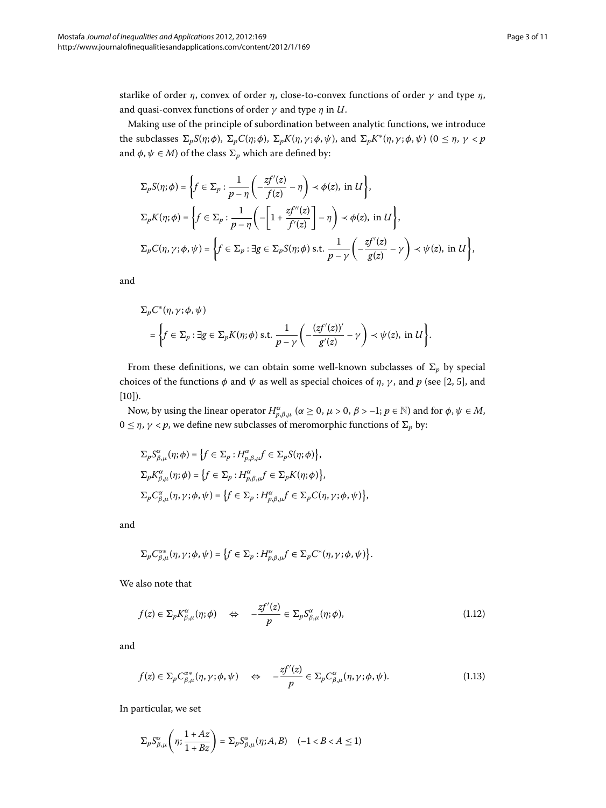starlike of order *η*, convex of order *η*, close-to-convex functions of order *γ* and type *η*, and quasi-convex functions of order *γ* and type *η* in *U*.

Making use of the principle of subordination between analytic functions, we introduce the subclasses  $\Sigma_p S(\eta;\phi)$ ,  $\Sigma_p C(\eta;\phi)$ ,  $\Sigma_p K(\eta,\gamma;\phi,\psi)$ , and  $\Sigma_p K^*(\eta,\gamma;\phi,\psi)$   $(0 \le \eta, \gamma < p)$ and  $\phi, \psi \in M$ ) of the class  $\Sigma_p$  which are defined by:

$$
\begin{split} &\Sigma_p S(\eta;\phi)=\bigg\{f\in\Sigma_p:\frac{1}{p-\eta}\bigg(-\frac{zf'(z)}{f(z)}-\eta\bigg)\prec\phi(z),\;\text{in}\;U\bigg\},\\ &\Sigma_p K(\eta;\phi)=\bigg\{f\in\Sigma_p:\frac{1}{p-\eta}\bigg(-\bigg[1+\frac{zf''(z)}{f'(z)}\bigg]-\eta\bigg)\prec\phi(z),\;\text{in}\;U\bigg\},\\ &\Sigma_p C(\eta,\gamma;\phi,\psi)=\bigg\{f\in\Sigma_p:\exists g\in\Sigma_p S(\eta;\phi)\;\text{s.t.}\;\frac{1}{p-\gamma}\bigg(-\frac{zf'(z)}{g(z)}-\gamma\bigg)\prec\psi(z),\;\text{in}\;U\bigg\}, \end{split}
$$

and

$$
\Sigma_p C^*(\eta, \gamma; \phi, \psi)
$$
  
=  $\left\{ f \in \Sigma_p : \exists g \in \Sigma_p K(\eta; \phi) \text{ s.t. } \frac{1}{p - \gamma} \left( -\frac{(zf'(z))'}{g'(z)} - \gamma \right) \prec \psi(z), \text{ in } U \right\}.$ 

From these definitions, we can obtain some well-known subclasses of  $\Sigma_p$  by special choices of the functions  $\phi$  and  $\psi$  as well as special choices of  $\eta$ ,  $\gamma$ , and  $p$  (see [\[](#page-10-3)2, 5], and  $[10]$  $[10]$ ).

Now, by using the linear operator  $H^{\alpha}_{p,\beta,\mu}$  ( $\alpha \ge 0$ ,  $\mu > 0$ ,  $\beta > -1$ ;  $p \in \mathbb{N}$ ) and for  $\phi, \psi \in M$ ,  $0 \leq η$ ,  $γ < p$ , we define new subclasses of meromorphic functions of  $Σ<sub>p</sub>$  by:

$$
\begin{aligned} \Sigma_p S_{\beta,\mu}^{\alpha}(\eta;\phi) &= \left\{ f \in \Sigma_p : H_{p,\beta,\mu}^{\alpha} f \in \Sigma_p S(\eta;\phi) \right\}, \\ \Sigma_p K_{\beta,\mu}^{\alpha}(\eta;\phi) &= \left\{ f \in \Sigma_p : H_{p,\beta,\mu}^{\alpha} f \in \Sigma_p K(\eta;\phi) \right\}, \\ \Sigma_p C_{\beta,\mu}^{\alpha}(\eta,\gamma;\phi,\psi) &= \left\{ f \in \Sigma_p : H_{p,\beta,\mu}^{\alpha} f \in \Sigma_p C(\eta,\gamma;\phi,\psi) \right\}, \end{aligned}
$$

and

<span id="page-2-0"></span>
$$
\Sigma_p C_{\beta,\mu}^{\alpha*}(\eta,\gamma;\phi,\psi)=\big\{f\in \Sigma_p: H_{p,\beta,\mu}^{\alpha}f\in \Sigma_p C^*(\eta,\gamma;\phi,\psi)\big\}.
$$

We also note that

$$
f(z) \in \Sigma_p K_{\beta,\mu}^{\alpha}(\eta;\phi) \quad \Leftrightarrow \quad -\frac{zf'(z)}{p} \in \Sigma_p S_{\beta,\mu}^{\alpha}(\eta;\phi), \tag{1.12}
$$

and

$$
f(z) \in \Sigma_p C_{\beta,\mu}^{\alpha*}(\eta,\gamma;\phi,\psi) \quad \Leftrightarrow \quad -\frac{zf'(z)}{p} \in \Sigma_p C_{\beta,\mu}^{\alpha}(\eta,\gamma;\phi,\psi). \tag{1.13}
$$

In particular, we set

$$
\Sigma_p S_{\beta,\mu}^{\alpha}\left(\eta;\frac{1+Az}{1+Bz}\right)=\Sigma_p S_{\beta,\mu}^{\alpha}(\eta;A,B)\quad (-1 < B < A \leq 1)
$$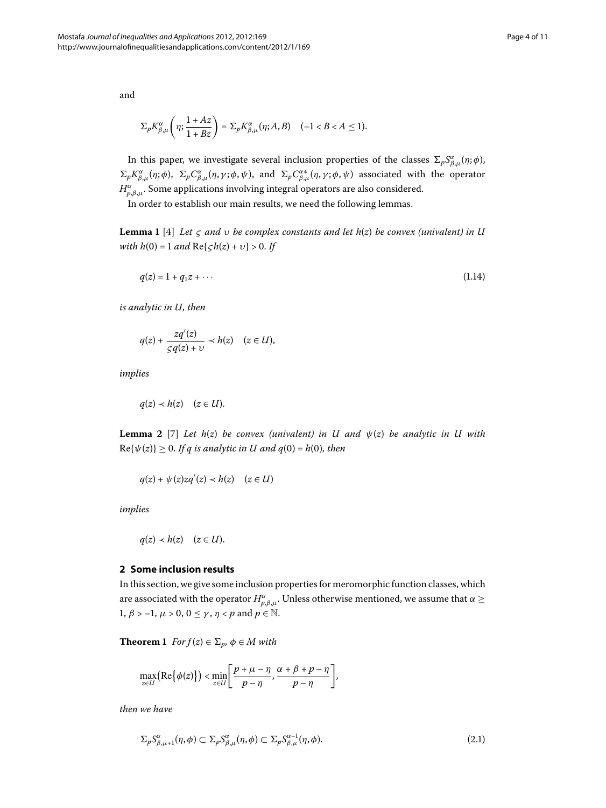and

$$
\Sigma_p K_{\beta,\mu}^{\alpha}\left(\eta;\frac{1+Az}{1+Bz}\right)=\Sigma_p K_{\beta,\mu}^{\alpha}(\eta;A,B)\quad(-1 < B < A \leq 1).
$$

<span id="page-3-0"></span>In this paper, we investigate several inclusion properties of the classes  $\Sigma_p S^{\alpha}_{\beta,\mu}(\eta;\phi)$ ,  $\Sigma_p K_{\beta,\mu}^{\alpha}(\eta;\phi)$ ,  $\Sigma_p C_{\beta,\mu}^{\alpha}(\eta,\gamma;\phi,\psi)$ , and  $\Sigma_p C_{\beta,\mu}^{\alpha*}(\eta,\gamma;\phi,\psi)$  associated with the operator *H*<sub>*p*,*β*,*μ*</sub>. Some applications involving integral operators are also considered.

In order to establish our main results, we need the following lemmas.

**Lemma 1** [4] *Let*  $\zeta$  *and*  $\upsilon$  *be complex constants and let*  $h(z)$  *be convex (univalent) in U with h*(0) = 1 *and*  $\text{Re}\{\varsigma h(z) + v\} > 0$ . If

$$
q(z) = 1 + q_1 z + \cdots \tag{1.14}
$$

*is analytic in U, then*

<span id="page-3-2"></span>
$$
q(z) + \frac{zq'(z)}{\varsigma q(z) + \upsilon} \prec h(z) \quad (z \in U),
$$

*implies*

$$
q(z) \prec h(z) \quad (z \in U).
$$

**Lemma 2** [7] *Let h*(*z*) *be convex (univalent) in U and*  $\psi(z)$  *be analytic in U with*  $\text{Re}\{\psi(z)\}\geq 0$ . If q is analytic in U and  $q(0) = h(0)$ , then

$$
q(z) + \psi(z)zq'(z) \prec h(z) \quad (z \in U)
$$

*implies*

$$
q(z) \prec h(z) \quad (z \in U).
$$

### <span id="page-3-1"></span>**2 Some inclusion results**

In this section, we give some inclusion properties for meromorphic function classes, which are associated with the operator  $H^{\alpha}_{p,\beta,\mu}.$  Unless otherwise mentioned, we assume that  $\alpha \geq 0$  $1, \beta > -1, \mu > 0, 0 \leq \gamma, \eta < p$  and  $p \in \mathbb{N}$ .

**Theorem 1**  $Forf(z) \in \Sigma_p$ ,  $\phi \in M$  with

$$
\max_{z \in U} \bigl( \text{Re} \big\{ \phi(z) \bigr\} \bigr) < \min_{z \in U} \biggl[ \frac{p + \mu - \eta}{p - \eta}, \frac{\alpha + \beta + p - \eta}{p - \eta} \biggr],
$$

*then we have*

$$
\Sigma_p S^{\alpha}_{\beta,\mu+1}(\eta,\phi) \subset \Sigma_p S^{\alpha}_{\beta,\mu}(\eta,\phi) \subset \Sigma_p S^{\alpha-1}_{\beta,\mu}(\eta,\phi).
$$
\n(2.1)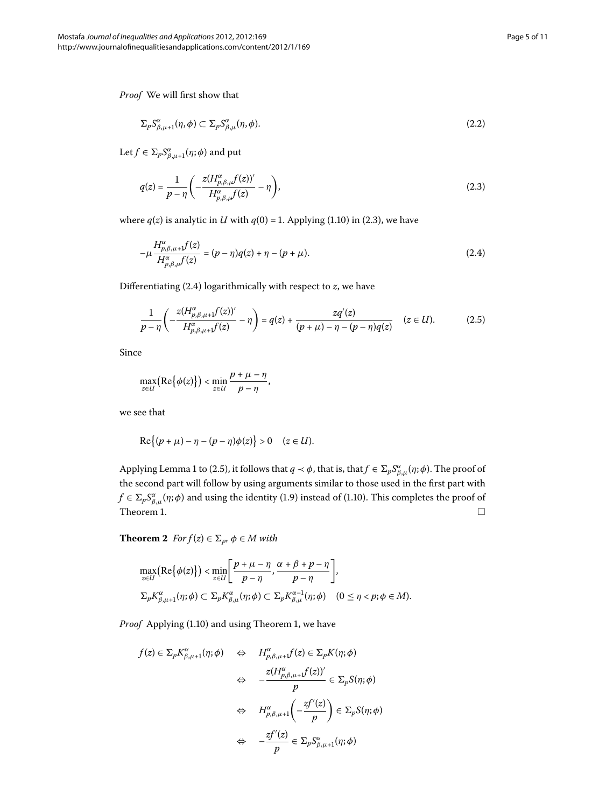*Proof* We will first show that

<span id="page-4-0"></span>
$$
\Sigma_p S^{\alpha}_{\beta,\mu+1}(\eta,\phi) \subset \Sigma_p S^{\alpha}_{\beta,\mu}(\eta,\phi). \tag{2.2}
$$

 $\text{Let } f \in \Sigma_p S_{\beta,\mu+1}^{\alpha}(\eta;\phi) \text{ and put}$ 

<span id="page-4-1"></span>
$$
q(z) = \frac{1}{p - \eta} \left( -\frac{z(H_{p,\beta,\mu}^{\alpha}f(z))'}{H_{p,\beta,\mu}^{\alpha}f(z)} - \eta \right),
$$
\n(2.3)

where  $q(z)$  is analytic in *U* with  $q(0) = 1$ [.](#page-1-3) Applying (1.10) in (2.3), we have

<span id="page-4-2"></span>
$$
-\mu \frac{H_{p,\beta,\mu+1}^{\alpha}f(z)}{H_{p,\beta,\mu}^{\alpha}f(z)} = (p-\eta)q(z) + \eta - (p+\mu).
$$
\n(2.4)

Differentiating (2[.](#page-4-1)4) logarithmically with respect to *z*, we have

$$
\frac{1}{p-\eta} \left( -\frac{z(H^{a}_{p,\beta,\mu+1}f(z))'}{H^{a}_{p,\beta,\mu+1}f(z)} - \eta \right) = q(z) + \frac{zq'(z)}{(p+\mu) - \eta - (p-\eta)q(z)} \quad (z \in U). \tag{2.5}
$$

Since

$$
\max_{z\in U}\bigl(\mathrm{Re}\bigl\{\phi(z)\bigr\}\bigr) < \min_{z\in U}\frac{p+\mu-\eta}{p-\eta},
$$

we see that

$$
\operatorname{Re}\bigl\{(p+\mu)-\eta-(p-\eta)\phi(z)\bigr\}>0\quad(z\in U).
$$

<span id="page-4-3"></span>Applying Lemma 1 to (2.5), it follows that  $q \prec \phi$ , that is, that  $f \in \Sigma_p S^{\alpha}_{\beta,\mu}(\eta;\phi)$ . The proof of the second part will follow by using arguments similar to those used in the first part with  $f \in \Sigma_p S^{\alpha}_{\beta,\mu}(\eta;\phi)$  and using the identity (1.9) instead of (1.10). This completes the proof of Theorem 1[.](#page-3-1)

**Theorem 2**  $For f(z) \in \Sigma_p$ ,  $\phi \in M$  with

$$
\max_{z \in U} \left( \text{Re}\{\phi(z)\} \right) < \min_{z \in U} \left[ \frac{p + \mu - \eta}{p - \eta}, \frac{\alpha + \beta + p - \eta}{p - \eta} \right],
$$
\n
$$
\sum_{p} K_{\beta, \mu+1}^{\alpha}(\eta; \phi) \subset \sum_{p} K_{\beta, \mu}^{\alpha}(\eta; \phi) \subset \sum_{p} K_{\beta, \mu}^{\alpha-1}(\eta; \phi) \quad (0 \le \eta < p; \phi \in M).
$$

*Proof* Applying (1.10) and using Theorem 1, we have

$$
f(z) \in \Sigma_p K_{\beta,\mu+1}^{\alpha}(\eta;\phi) \quad \Leftrightarrow \quad H_{p,\beta,\mu+1}^{\alpha} f(z) \in \Sigma_p K(\eta;\phi)
$$

$$
\Leftrightarrow \quad -\frac{z(H_{p,\beta,\mu+1}^{\alpha} f(z))'}{p} \in \Sigma_p S(\eta;\phi)
$$

$$
\Leftrightarrow \quad H_{p,\beta,\mu+1}^{\alpha} \left( -\frac{zf'(z)}{p} \right) \in \Sigma_p S(\eta;\phi)
$$

$$
\Leftrightarrow \quad -\frac{zf'(z)}{p} \in \Sigma_p S_{\beta,\mu+1}^{\alpha}(\eta;\phi)
$$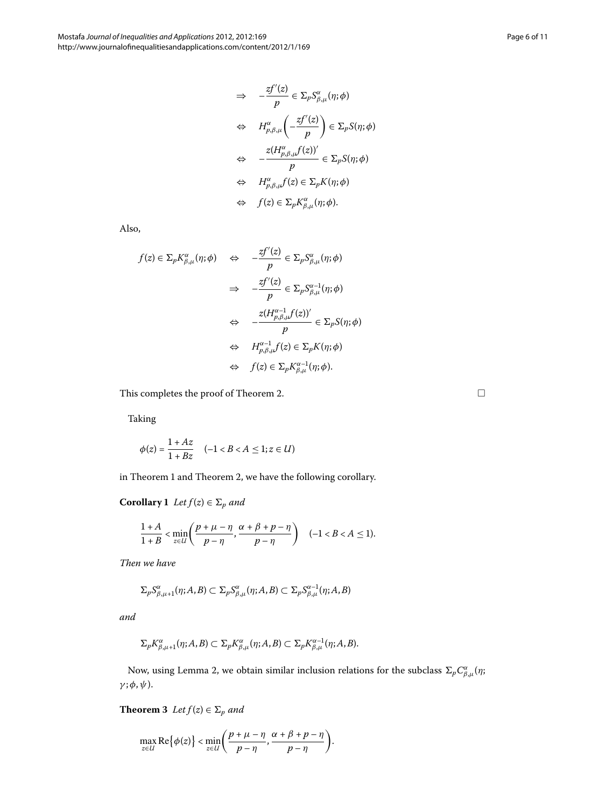$$
\Rightarrow -\frac{zf'(z)}{p} \in \Sigma_p S_{\beta,\mu}^{\alpha}(\eta;\phi)
$$
  
\n
$$
\Leftrightarrow H_{p,\beta,\mu}^{\alpha} \left( -\frac{zf'(z)}{p} \right) \in \Sigma_p S(\eta;\phi)
$$
  
\n
$$
\Leftrightarrow -\frac{z(H_{p,\beta,\mu}^{\alpha}f(z))'}{p} \in \Sigma_p S(\eta;\phi)
$$
  
\n
$$
\Leftrightarrow H_{p,\beta,\mu}^{\alpha}f(z) \in \Sigma_p K(\eta;\phi)
$$
  
\n
$$
\Leftrightarrow f(z) \in \Sigma_p K_{\beta,\mu}^{\alpha}(\eta;\phi).
$$

Also,

$$
f(z) \in \Sigma_p K_{\beta,\mu}^{\alpha}(\eta;\phi) \quad \Leftrightarrow \quad -\frac{zf'(z)}{p} \in \Sigma_p S_{\beta,\mu}^{\alpha}(\eta;\phi)
$$

$$
\Rightarrow \quad -\frac{zf'(z)}{p} \in \Sigma_p S_{\beta,\mu}^{\alpha-1}(\eta;\phi)
$$

$$
\Leftrightarrow \quad -\frac{z(H_{p,\beta,\mu}^{\alpha-1}f(z))'}{p} \in \Sigma_p S(\eta;\phi)
$$

$$
\Leftrightarrow \quad H_{p,\beta,\mu}^{\alpha-1}f(z) \in \Sigma_p K(\eta;\phi)
$$

$$
\Leftrightarrow \quad f(z) \in \Sigma_p K_{\beta,\mu}^{\alpha-1}(\eta;\phi).
$$

This completes the proof of Theorem 2.

Taking

$$
\phi(z) = \frac{1 + Az}{1 + Bz} \quad (-1 < B < A \leq 1; z \in U)
$$

in Theorem 1 and Theorem 2[,](#page-4-3) we have the following corollary.

**Corollary 1** *Let*  $f(z) \in \Sigma_p$  *and* 

$$
\frac{1+A}{1+B} < \min_{z \in U} \left( \frac{p+\mu-\eta}{p-\eta}, \frac{\alpha+\beta+p-\eta}{p-\eta} \right) \quad (-1 < B < A \le 1).
$$

*Then we have*

$$
\Sigma_p S^{\alpha}_{\beta,\mu+1}(\eta;A,B) \subset \Sigma_p S^{\alpha}_{\beta,\mu}(\eta;A,B) \subset \Sigma_p S^{\alpha-1}_{\beta,\mu}(\eta;A,B)
$$

<span id="page-5-0"></span>*and*

$$
\Sigma_p K_{\beta,\mu+1}^{\alpha}(\eta;A,B) \subset \Sigma_p K_{\beta,\mu}^{\alpha}(\eta;A,B) \subset \Sigma_p K_{\beta,\mu}^{\alpha-1}(\eta;A,B).
$$

Now, using Lemma 2, we obtain similar inclusion relations for the subclass  $\Sigma_p C_{\beta,\mu}^{\alpha}(\eta; \eta)$ *γ* ;*φ*,*ψ*).

**Theorem 3**  $Let f(z) \in \Sigma_p$  and

$$
\max_{z\in U} \text{Re}\big\{\phi(z)\big\} < \min_{z\in U} \bigg(\frac{p+\mu-\eta}{p-\eta}, \frac{\alpha+\beta+p-\eta}{p-\eta}\bigg).
$$

 $\Box$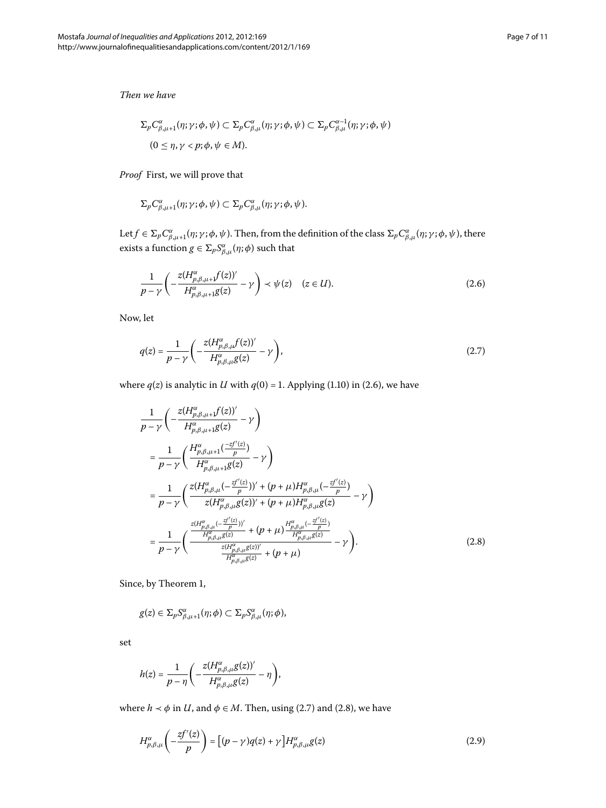*Then we have*

$$
\Sigma_p C_{\beta,\mu+1}^{\alpha}(\eta;\gamma;\phi,\psi) \subset \Sigma_p C_{\beta,\mu}^{\alpha}(\eta;\gamma;\phi,\psi) \subset \Sigma_p C_{\beta,\mu}^{\alpha-1}(\eta;\gamma;\phi,\psi)
$$
  

$$
(0 \leq \eta,\gamma < p;\phi,\psi \in M).
$$

*Proof* First, we will prove that

<span id="page-6-0"></span>
$$
\Sigma_p C_{\beta,\mu+1}^{\alpha}(\eta;\gamma;\phi,\psi) \subset \Sigma_p C_{\beta,\mu}^{\alpha}(\eta;\gamma;\phi,\psi).
$$

Let  $f\in\Sigma_p C^\alpha_{\beta,\mu+1}(\eta;\gamma;\phi,\psi)$ . Then, from the definition of the class  $\Sigma_p C^\alpha_{\beta,\mu}(\eta;\gamma;\phi,\psi)$ , there exists a function  $g \in \sum_{p} S^{\alpha}_{\beta,\mu}(\eta;\phi)$  such that

<span id="page-6-1"></span>
$$
\frac{1}{p-\gamma} \left( -\frac{z(H^{\alpha}_{p,\beta,\mu+1}f(z))'}{H^{\alpha}_{p,\beta,\mu+1}g(z)} - \gamma \right) \prec \psi(z) \quad (z \in U). \tag{2.6}
$$

<span id="page-6-2"></span>Now, let

$$
q(z) = \frac{1}{p - \gamma} \left( -\frac{z(H_{p,\beta,\mu}^{\alpha}f(z))'}{H_{p,\beta,\mu}^{\alpha}g(z)} - \gamma \right),\tag{2.7}
$$

where  $q(z)$  is analytic in *U* with  $q(0) = 1$ [.](#page-1-3) Applying (1.10) in (2.6), we have

$$
\frac{1}{p - \gamma} \left( -\frac{z(H_{p,\beta,\mu+1}^{\alpha}f(z))'}{H_{p,\beta,\mu+1}^{\alpha}g(z)} - \gamma \right)
$$
\n
$$
= \frac{1}{p - \gamma} \left( \frac{H_{p,\beta,\mu+1}^{\alpha} \left( \frac{-zf'(z)}{p} \right)}{H_{p,\beta,\mu+1}^{\alpha}g(z)} - \gamma \right)
$$
\n
$$
= \frac{1}{p - \gamma} \left( \frac{z(H_{p,\beta,\mu}^{\alpha} \left( -\frac{zf'(z)}{p} \right))' + (p + \mu)H_{p,\beta,\mu}^{\alpha} \left( -\frac{zf'(z)}{p} \right)}{z(H_{p,\beta,\mu}^{\alpha}g(z))' + (p + \mu)H_{p,\beta,\mu}^{\alpha}g(z)} - \gamma \right)
$$
\n
$$
= \frac{1}{p - \gamma} \left( \frac{\frac{z(H_{p,\beta,\mu}^{\alpha} \left( -\frac{zf'(z)}{p} \right))'}{H_{p,\beta,\mu}^{\alpha}g(z)} + (p + \mu) \frac{H_{p,\beta,\mu}^{\alpha} \left( -\frac{zf'(z)}{p} \right)}{H_{p,\beta,\mu}^{\alpha}g(z)}}{-\gamma \right).
$$
\n(2.8)

Since, by Theorem 1,

$$
g(z) \in \Sigma_p S^{\alpha}_{\beta,\mu+1}(\eta;\phi) \subset \Sigma_p S^{\alpha}_{\beta,\mu}(\eta;\phi),
$$

set

<span id="page-6-3"></span>
$$
h(z) = \frac{1}{p - \eta} \left( -\frac{z(H_{p,\beta,\mu}^{\alpha}g(z))'}{H_{p,\beta,\mu}^{\alpha}g(z)} - \eta \right),\,
$$

where  $h \prec \phi$  in *U*, and  $\phi \in M$ . Then, using (2.7) and (2.8), we have

$$
H_{p,\beta,\mu}^{\alpha}\left(-\frac{zf^{\prime}(z)}{p}\right) = \left[(p-\gamma)q(z)+\gamma\right]H_{p,\beta,\mu}^{\alpha}g(z)
$$
\n(2.9)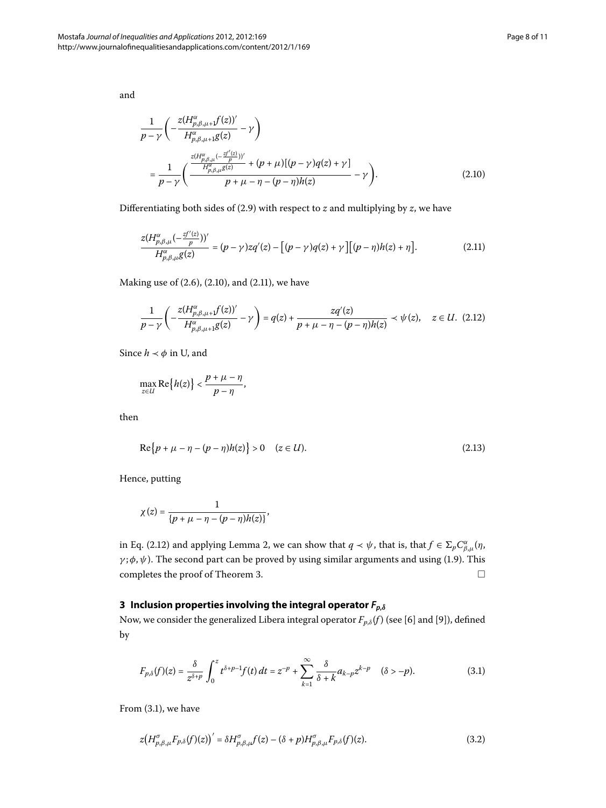<span id="page-7-0"></span>and

<span id="page-7-1"></span>
$$
\frac{1}{p-\gamma} \left( -\frac{z(H_{p,\beta,\mu+1}^{\alpha}f(z))'}{H_{p,\beta,\mu+1}^{\alpha}g(z)} - \gamma \right)
$$
\n
$$
= \frac{1}{p-\gamma} \left( \frac{\frac{z(H_{p,\beta,\mu}^{\alpha}(-\frac{zf'(z)}{p}))'}{H_{p,\beta,\mu}^{\alpha}g(z)} + (p+\mu)[(p-\gamma)q(z)+\gamma]}{p+\mu-\eta-(p-\eta)h(z)} - \gamma \right). \tag{2.10}
$$

Differentiating both sides of  $(2.9)$  with respect to  $z$  and multiplying by  $z$ , we have

<span id="page-7-2"></span>
$$
\frac{z(H_{p,\beta,\mu}^{\alpha}(-\frac{zf'(z)}{p}))'}{H_{p,\beta,\mu}^{\alpha}g(z)} = (p-\gamma)zq'(z) - [(p-\gamma)q(z)+\gamma][(p-\eta)h(z)+\eta].
$$
\n(2.11)

Making use of  $(2.6)$  $(2.6)$  $(2.6)$ ,  $(2.10)$ , and  $(2.11)$ , we have

$$
\frac{1}{p-\gamma} \left( -\frac{z(H^{a}_{p,\beta,\mu+1}f(z))'}{H^{a}_{p,\beta,\mu+1}g(z)} - \gamma \right) = q(z) + \frac{zq'(z)}{p+\mu-\eta-(p-\eta)h(z)} \prec \psi(z), \quad z \in U. \tag{2.12}
$$

Since  $h \prec \phi$  in U, and

$$
\max_{z\in U} \text{Re}\big\{h(z)\big\} < \frac{p+\mu-\eta}{p-\eta},
$$

then

$$
\text{Re}\{p + \mu - \eta - (p - \eta)h(z)\} > 0 \quad (z \in U). \tag{2.13}
$$

Hence, putting

<span id="page-7-3"></span>
$$
\chi(z)=\frac{1}{\{p+\mu-\eta-(p-\eta)h(z)\}},
$$

in Eq. (2.12) and applying Lemma 2[,](#page-3-2) we can show that  $q \prec \psi$ , that is, that  $f \in \sum_p C^{\alpha}_{\beta,\mu}(\eta, \theta)$  $\gamma$ ; $\phi$ , $\psi$ )[.](#page-1-4) The second part can be proved by using similar arguments and using (1.9). This completes the proof of Theorem 3.  $\Box$ 

# **3 Inclusion properties involving the integral operator** *Fp***,***<sup>δ</sup>*

Now, we consider the generalized Libera integral operator  $F_{p,\delta}(f)$  (see [\[](#page-10-9)6] and [9]), defined by

<span id="page-7-4"></span>
$$
F_{p,\delta}(f)(z) = \frac{\delta}{z^{\delta+p}} \int_0^z t^{\delta+p-1} f(t) dt = z^{-p} + \sum_{k=1}^{\infty} \frac{\delta}{\delta+k} a_{k-p} z^{k-p} \quad (\delta > -p).
$$
 (3.1)

From  $(3.1)$ , we have

$$
z(H_{p,\beta,\mu}^{\sigma}F_{p,\delta}(f)(z))' = \delta H_{p,\beta,\mu}^{\sigma}f(z) - (\delta + p)H_{p,\beta,\mu}^{\sigma}F_{p,\delta}(f)(z). \tag{3.2}
$$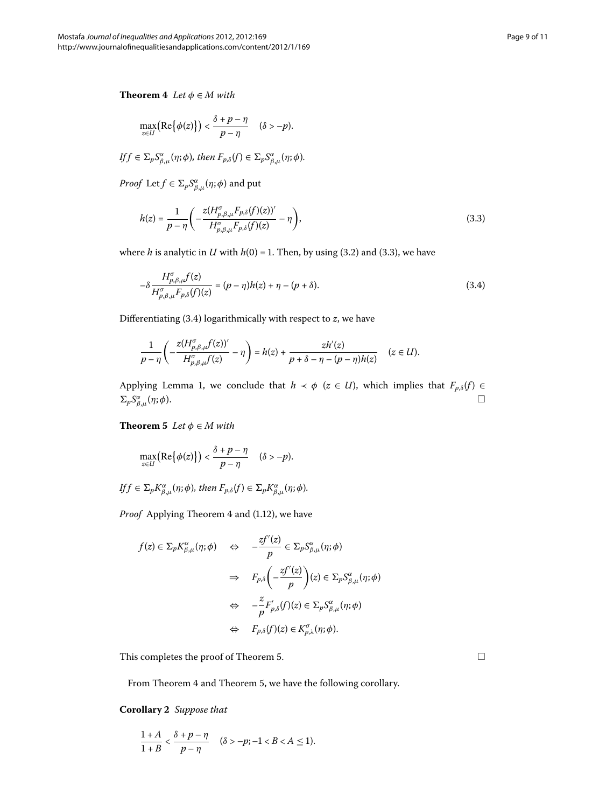<span id="page-8-2"></span>**Theorem 4** *Let*  $\phi \in M$  *with* 

<span id="page-8-0"></span>
$$
\max_{z\in U} \bigl( \text{Re} \big\{ \phi(z) \bigr\} \bigr) < \frac{\delta + p - \eta}{p - \eta} \quad (\delta > -p).
$$

$$
If f \in \Sigma_p S^{\alpha}_{\beta,\mu}(\eta;\phi), then F_{p,\delta}(f) \in \Sigma_p S^{\alpha}_{\beta,\mu}(\eta;\phi).
$$

*Proof* Let  $f \in \Sigma_p S^{\alpha}_{\beta,\mu}(\eta;\phi)$  and put

<span id="page-8-1"></span>
$$
h(z) = \frac{1}{p - \eta} \left( -\frac{z(H_{p,\beta,\mu}^{\sigma} F_{p,\delta}(f)(z))'}{H_{p,\beta,\mu}^{\sigma} F_{p,\delta}(f)(z)} - \eta \right),\tag{3.3}
$$

where *h* is analytic in *U* with  $h(0) = 1$ [.](#page-8-0) Then, by using (3.2) and (3.3), we have

$$
-\delta \frac{H_{\rho,\beta,\mu}^{\sigma}f(z)}{H_{\rho,\beta,\mu}^{\sigma}F_{p,\delta}(f)(z)} = (p-\eta)h(z) + \eta - (p+\delta). \tag{3.4}
$$

<span id="page-8-3"></span>Differentiating  $(3.4)$  $(3.4)$  $(3.4)$  logarithmically with respect to  $z$ , we have

$$
\frac{1}{p-\eta}\left(-\frac{z(H_{p,\beta,\mu}^{\sigma}f(z))'}{H_{p,\beta,\mu}^{\sigma}f(z)}-\eta\right)=h(z)+\frac{zh'(z)}{p+\delta-\eta-(p-\eta)h(z)}\quad(z\in U).
$$

Applying Lemma 1, we conclude that  $h \prec \phi$  ( $z \in U$ ), which implies that  $F_{p,\delta}(f) \in$  $\Sigma_p S^\alpha_\beta$  $\frac{\alpha}{\beta,\mu}$ (*η*;*φ*).  $□$ 

**Theorem 5** *Let*  $\phi \in M$  *with* 

$$
\max_{z \in U} \big( \text{Re} \big\{ \phi(z) \big\} \big) < \frac{\delta + p - \eta}{p - \eta} \quad (\delta > -p).
$$

 $\iint f \in \Sigma_p K_{\beta,\mu}^{\alpha}(\eta;\phi)$ , then  $F_{p,\delta}(f) \in \Sigma_p K_{\beta,\mu}^{\alpha}(\eta;\phi)$ .

*Proof* Applying Theorem 4 and (1[.](#page-2-0)12), we have

$$
f(z) \in \Sigma_p K_{\beta,\mu}^{\alpha}(\eta;\phi) \quad \Leftrightarrow \quad -\frac{zf'(z)}{p} \in \Sigma_p S_{\beta,\mu}^{\alpha}(\eta;\phi)
$$

$$
\Rightarrow \quad F_{p,\delta}\left(-\frac{zf'(z)}{p}\right)(z) \in \Sigma_p S_{\beta,\mu}^{\alpha}(\eta;\phi)
$$

$$
\Leftrightarrow \quad -\frac{z}{p}F'_{p,\delta}(f)(z) \in \Sigma_p S_{\beta,\mu}^{\alpha}(\eta;\phi)
$$

$$
\Leftrightarrow \quad F_{p,\delta}(f)(z) \in K_{p,\lambda}^{\sigma}(\eta;\phi).
$$

This completes the proof of Theorem 5[.](#page-8-3)

From Theorem 4 and Theorem 5[,](#page-8-3) we have the following corollary.

**Corollary**  *Suppose that*

$$
\frac{1+A}{1+B} < \frac{\delta+p-\eta}{p-\eta} \quad (\delta > -p; -1 < B < A \le 1).
$$

 $\Box$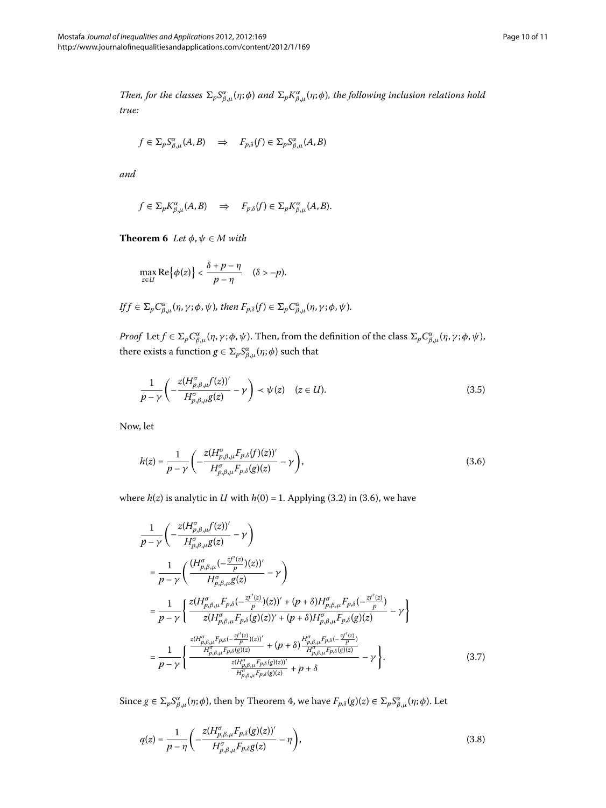*Then, for the classes*  $\Sigma_p S^{\alpha}_{\beta,\mu}(\eta;\phi)$  and  $\Sigma_p K^{\alpha}_{\beta,\mu}(\eta;\phi)$ , the following inclusion relations hold *true:*

$$
f \in \Sigma_p S^{\alpha}_{\beta,\mu}(A,B) \quad \Rightarrow \quad F_{p,\delta}(f) \in \Sigma_p S^{\alpha}_{\beta,\mu}(A,B)
$$

<span id="page-9-3"></span>*and*

$$
f \in \Sigma_p K_{\beta,\mu}^{\alpha}(A,B) \Rightarrow F_{p,\delta}(f) \in \Sigma_p K_{\beta,\mu}^{\alpha}(A,B).
$$

**Theorem 6** Let  $\phi$ ,  $\psi \in M$  with

<span id="page-9-1"></span>
$$
\max_{z \in U} \text{Re}\big\{\phi(z)\big\} < \frac{\delta + p - \eta}{p - \eta} \quad (\delta > -p).
$$

$$
If f \in \Sigma_p C_{\beta,\mu}^{\alpha}(\eta,\gamma;\phi,\psi), then F_{p,\delta}(f) \in \Sigma_p C_{\beta,\mu}^{\alpha}(\eta,\gamma;\phi,\psi).
$$

*Proof* Let  $f \in \Sigma_p C_{\beta,\mu}^{\alpha}(\eta,\gamma;\phi,\psi)$ . Then, from the definition of the class  $\Sigma_p C_{\beta,\mu}^{\alpha}(\eta,\gamma;\phi,\psi)$ , there exists a function  $g \in \Sigma_p S^{\alpha}_{\beta,\mu}(\eta;\phi)$  such that

<span id="page-9-0"></span>
$$
\frac{1}{p-\gamma} \left( -\frac{z(H_{p,\beta,\mu}^{\sigma}f(z))'}{H_{p,\beta,\mu}^{\sigma}g(z)} - \gamma \right) \prec \psi(z) \quad (z \in U). \tag{3.5}
$$

<span id="page-9-2"></span>Now, let

$$
h(z) = \frac{1}{p - \gamma} \left( -\frac{z(H_{p,\beta,\mu}^{\sigma} F_{p,\delta}(f)(z))'}{H_{p,\beta,\mu}^{\sigma} F_{p,\delta}(g)(z)} - \gamma \right),\tag{3.6}
$$

where  $h(z)$  is analytic in *U* with  $h(0) = 1$ [.](#page-9-0) Applying (3.2) in (3.6), we have

$$
\frac{1}{p-\gamma} \left( -\frac{z(H_{p,\beta,\mu}^{\sigma}f(z))'}{H_{p,\beta,\mu}^{\sigma}g(z)} - \gamma \right)
$$
\n
$$
= \frac{1}{p-\gamma} \left( \frac{(H_{p,\beta,\mu}^{\sigma}(-\frac{zf'(z)}{p})(z))'}{H_{p,\beta,\mu}^{\sigma}g(z)} - \gamma \right)
$$
\n
$$
= \frac{1}{p-\gamma} \left\{ \frac{z(H_{p,\beta,\mu}^{\sigma}F_{p,\delta}(-\frac{zf'(z)}{p})(z))' + (p+\delta)H_{p,\beta,\mu}^{\sigma}F_{p,\delta}(-\frac{zf'(z)}{p})}{z(H_{p,\beta,\mu}^{\sigma}F_{p,\delta}(g)(z))' + (p+\delta)H_{p,\beta,\mu}^{\sigma}F_{p,\delta}(g)(z)} - \gamma \right\}
$$
\n
$$
= \frac{1}{p-\gamma} \left\{ \frac{\frac{z(H_{p,\beta,\mu}^{\sigma}F_{p,\delta}(-\frac{zf'(z)}{p})(z))'}{H_{p,\beta,\mu}^{\sigma}F_{p,\delta}(g)(z)} + (p+\delta) \frac{H_{p,\beta,\mu}^{\sigma}F_{p,\delta}(-\frac{zf'(z)}{p})}{H_{p,\beta,\mu}^{\sigma}F_{p,\delta}(g)(z)}}{-\gamma \right\}. \tag{3.7}
$$

 $Sine g \in \sum_p S^{\alpha}_{\beta,\mu}(\eta;\phi)$ , then by Theorem 4, we have  $F_{p,\delta}(g)(z) \in \sum_p S^{\alpha}_{\beta,\mu}(\eta;\phi)$ . Let

$$
q(z) = \frac{1}{p - \eta} \left( -\frac{z(H_{p,\beta,\mu}^{\sigma} F_{p,\delta}(g)(z))'}{H_{p,\beta,\mu}^{\sigma} F_{p,\delta}g(z)} - \eta \right),\tag{3.8}
$$